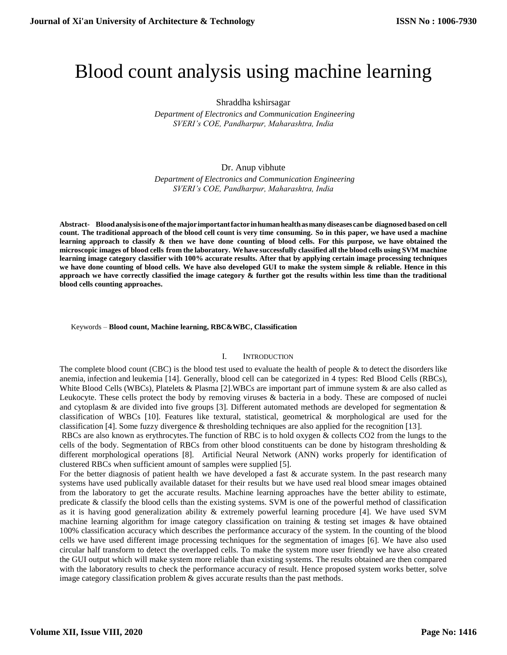# Blood count analysis using machine learning

## Shraddha kshirsagar

 *Department of Electronics and Communication Engineering SVERI's COE, Pandharpur, Maharashtra, India*

# Dr. Anup vibhute

 *Department of Electronics and Communication Engineering SVERI's COE, Pandharpur, Maharashtra, India*

**Abstract- Bloodanalysisisoneofthemajor importantfactorinhumanhealthasmanydiseasescanbe diagnosed based on cell** count. The traditional approach of the blood cell count is very time consuming. So in this paper, we have used a machine **learning approach to classify & then we have done counting of blood cells. For this purpose, we have obtained the** microscopic images of blood cells from the laboratory. We have successfully classified all the blood cells using SVM machine **learning image category classifier with 100% accurate results. After that by applying certain image processing techniques we have done counting of blood cells. We have also developed GUI to make the system simple & reliable. Hence in this approach we have correctly classified the image category & further got the results within less time than the traditional blood cells counting approaches.** 

Keywords *–* **Blood count, Machine learning, RBC&WBC, Classification**

#### I. INTRODUCTION

The complete blood count (CBC) is the blood test used to evaluate the health of people & to detect the disorders like anemia, infection and leukemia [14]. Generally, blood cell can be categorized in 4 types: Red Blood Cells (RBCs), White Blood Cells (WBCs), Platelets & Plasma [2].WBCs are important part of immune system & are also called as Leukocyte. These cells protect the body by removing viruses & bacteria in a body. These are composed of nuclei and cytoplasm & are divided into five groups [3]. Different automated methods are developed for segmentation & classification of WBCs [10]. Features like textural, statistical, geometrical & morphological are used for the classification [4]. Some fuzzy divergence & thresholding techniques are also applied for the recognition [13].

RBCs are also known as erythrocytes.The function of RBC is to hold oxygen & collects CO2 from the lungs to the cells of the body. Segmentation of RBCs from other blood constituents can be done by histogram thresholding & different morphological operations [8]. Artificial Neural Network (ANN) works properly for identification of clustered RBCs when sufficient amount of samples were supplied [5].

For the better diagnosis of patient health we have developed a fast & accurate system. In the past research many systems have used publically available dataset for their results but we have used real blood smear images obtained from the laboratory to get the accurate results. Machine learning approaches have the better ability to estimate, predicate & classify the blood cells than the existing systems. SVM is one of the powerful method of classification as it is having good generalization ability & extremely powerful learning procedure [4]. We have used SVM machine learning algorithm for image category classification on training & testing set images & have obtained 100% classification accuracy which describes the performance accuracy of the system. In the counting of the blood cells we have used different image processing techniques for the segmentation of images [6]. We have also used circular half transform to detect the overlapped cells. To make the system more user friendly we have also created the GUI output which will make system more reliable than existing systems. The results obtained are then compared with the laboratory results to check the performance accuracy of result. Hence proposed system works better, solve image category classification problem  $\&$  gives accurate results than the past methods.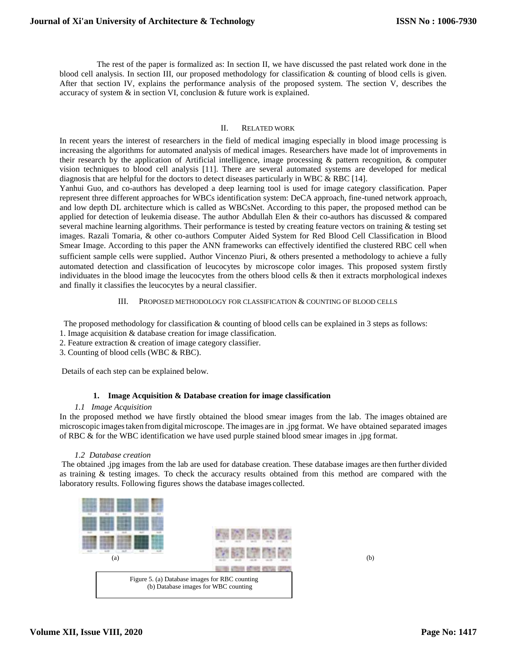The rest of the paper is formalized as: In section II, we have discussed the past related work done in the blood cell analysis. In section III, our proposed methodology for classification & counting of blood cells is given. After that section IV, explains the performance analysis of the proposed system. The section V, describes the accuracy of system & in section VI, conclusion & future work is explained.

## II. RELATED WORK

In recent years the interest of researchers in the field of medical imaging especially in blood image processing is increasing the algorithms for automated analysis of medical images. Researchers have made lot of improvements in their research by the application of Artificial intelligence, image processing & pattern recognition, & computer vision techniques to blood cell analysis [11]. There are several automated systems are developed for medical diagnosis that are helpful for the doctors to detect diseases particularly in WBC & RBC [14].

Yanhui Guo, and co-authors has developed a deep learning tool is used for image category classification. Paper represent three different approaches for WBCs identification system: DeCA approach, fine-tuned network approach, and low depth DL architecture which is called as WBCsNet. According to this paper, the proposed method can be applied for detection of leukemia disease. The author Abdullah Elen & their co-authors has discussed & compared several machine learning algorithms. Their performance is tested by creating feature vectors on training & testing set images. Razali Tomaria, & other co-authors Computer Aided System for Red Blood Cell Classification in Blood Smear Image. According to this paper the ANN frameworks can effectively identified the clustered RBC cell when sufficient sample cells were supplied. Author Vincenzo Piuri, & others presented a methodology to achieve a fully automated detection and classification of leucocytes by microscope color images. This proposed system firstly individuates in the blood image the leucocytes from the others blood cells & then it extracts morphological indexes and finally it classifies the leucocytes by a neural classifier.

## III. PROPOSED METHODOLOGY FOR CLASSIFICATION & COUNTING OF BLOOD CELLS

The proposed methodology for classification & counting of blood cells can be explained in 3 steps as follows:

- 1. Image acquisition & database creation for image classification.
- 2. Feature extraction & creation of image category classifier.
- 3. Counting of blood cells (WBC & RBC).

Details of each step can be explained below.

#### **1. Image Acquisition & Database creation for image classification**

#### *1.1 Image Acquisition*

In the proposed method we have firstly obtained the blood smear images from the lab. The images obtained are microscopic imagestaken fromdigitalmicroscope. The images are in .jpg format. We have obtained separated images of RBC & for the WBC identification we have used purple stained blood smear images in .jpg format.

#### *1.2 Database creation*

The obtained .jpg images from the lab are used for database creation. These database images are then further divided as training & testing images. To check the accuracy results obtained from this method are compared with the laboratory results. Following figures shows the database images collected.



**Volume XII, Issue VIII, 2020**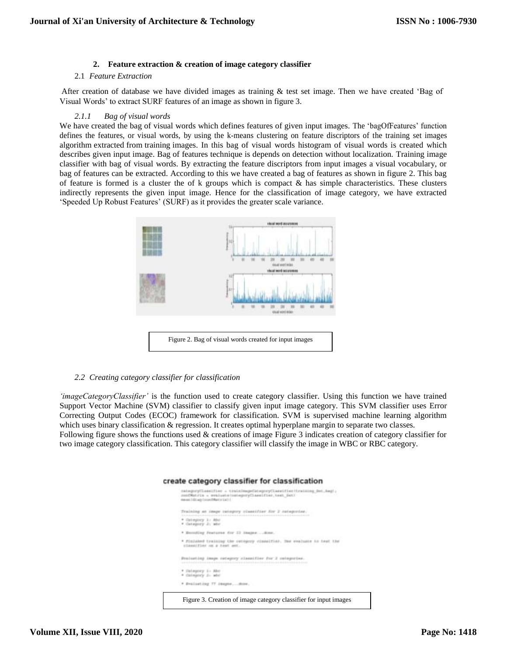## **2. Feature extraction & creation of image category classifier**

#### 2.1 *Feature Extraction*

After creation of database we have divided images as training & test set image. Then we have created 'Bag of Visual Words' to extract SURF features of an image as shown in figure 3.

#### *2.1.1 Bag of visual words*

We have created the bag of visual words which defines features of given input images. The 'bagOfFeatures' function defines the features, or visual words, by using the k-means clustering on feature discriptors of the training set images algorithm extracted from training images. In this bag of visual words histogram of visual words is created which describes given input image. Bag of features technique is depends on detection without localization. Training image classifier with bag of visual words. By extracting the feature discriptors from input images a visual vocabulary, or bag of features can be extracted. According to this we have created a bag of features as shown in figure 2. This bag of feature is formed is a cluster the of k groups which is compact  $\&$  has simple characteristics. These clusters indirectly represents the given input image. Hence for the classification of image category, we have extracted 'Speeded Up Robust Features' (SURF) as it provides the greater scale variance.



#### *2.2 Creating category classifier for classification*

cr

*'imageCategoryClassifier'* is the function used to create category classifier. Using this function we have trained Support Vector Machine (SVM) classifier to classify given input image category. This SVM classifier uses Error Correcting Output Codes (ECOC) framework for classification. SVM is supervised machine learning algorithm which uses binary classification & regression. It creates optimal hyperplane margin to separate two classes. Following figure shows the functions used & creations of image Figure 3 indicates creation of category classifier for two image category classification. This category classifier will classify the image in WBC or RBC category.

|                                               | mean 1dd aip (monthlance Gal) /                                                                                                                           |
|-----------------------------------------------|-----------------------------------------------------------------------------------------------------------------------------------------------------------|
|                                               | Training an image integery classifier for 2 cologeries.<br>NEWSLET PERSONAL RELEASED FOR A POSTAL PROPERTY AND RELEASED FOR A STATE                       |
| * Grimptory 1 - Abd<br>* Catagory 2: abe      |                                                                                                                                                           |
|                                               | * Encoding Jesturns for 12 inque  Emp.                                                                                                                    |
|                                               | * Finished training the conegury classifier. The evaluate in feet the<br>STANDITION AN A ROOT MIL. WAS ARRESTED AND A MARKET AND A STATISTICAL CONTINUES. |
|                                               | : Prolesting image nategory classifier for 2 velogeries.                                                                                                  |
| . * Estepney i: Abe-<br>. 4 Chinately Ji- add |                                                                                                                                                           |
|                                               | * Evaluating 77 (mapss. done. .                                                                                                                           |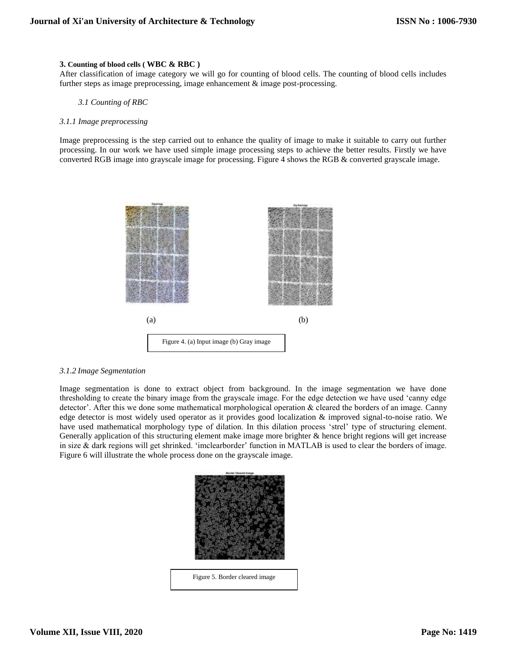#### **3. Counting of blood cells ( WBC & RBC )**

After classification of image category we will go for counting of blood cells. The counting of blood cells includes further steps as image preprocessing, image enhancement & image post-processing.

#### *3.1 Counting of RBC*

#### *3.1.1 Image preprocessing*

Image preprocessing is the step carried out to enhance the quality of image to make it suitable to carry out further processing. In our work we have used simple image processing steps to achieve the better results. Firstly we have converted RGB image into grayscale image for processing. Figure 4 shows the RGB & converted grayscale image.



#### *3.1.2 Image Segmentation*

Image segmentation is done to extract object from background. In the image segmentation we have done thresholding to create the binary image from the grayscale image. For the edge detection we have used 'canny edge detector'. After this we done some mathematical morphological operation & cleared the borders of an image. Canny edge detector is most widely used operator as it provides good localization & improved signal-to-noise ratio. We have used mathematical morphology type of dilation. In this dilation process 'strel' type of structuring element. Generally application of this structuring element make image more brighter & hence bright regions will get increase in size & dark regions will get shrinked. 'imclearborder' function in MATLAB is used to clear the borders of image. Figure 6 will illustrate the whole process done on the grayscale image.

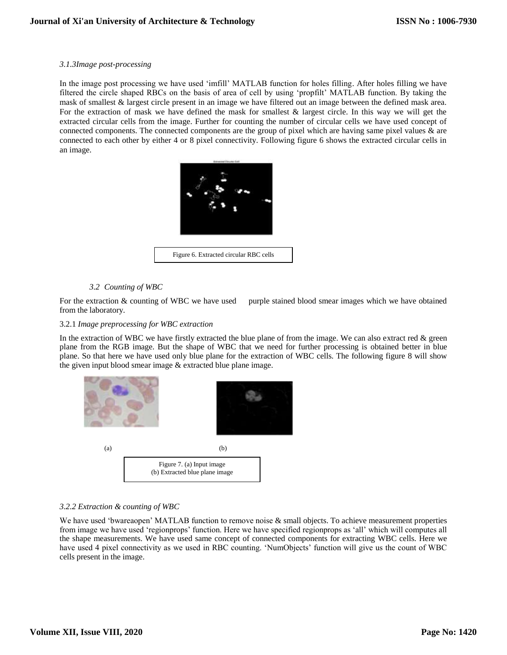## *3.1.3Image post-processing*

In the image post processing we have used 'imfill' MATLAB function for holes filling. After holes filling we have filtered the circle shaped RBCs on the basis of area of cell by using 'propfilt' MATLAB function. By taking the mask of smallest & largest circle present in an image we have filtered out an image between the defined mask area. For the extraction of mask we have defined the mask for smallest & largest circle. In this way we will get the extracted circular cells from the image. Further for counting the number of circular cells we have used concept of connected components. The connected components are the group of pixel which are having same pixel values & are connected to each other by either 4 or 8 pixel connectivity. Following figure 6 shows the extracted circular cells in an image.



# *3.2 Counting of WBC*

For the extraction & counting of WBC we have used purple stained blood smear images which we have obtained from the laboratory.

# 3.2.1 *Image preprocessing for WBC extraction*

In the extraction of WBC we have firstly extracted the blue plane of from the image. We can also extract red  $\&$  green plane from the RGB image. But the shape of WBC that we need for further processing is obtained better in blue plane. So that here we have used only blue plane for the extraction of WBC cells. The following figure 8 will show the given input blood smear image & extracted blue plane image.



# *3.2.2 Extraction & counting of WBC*

We have used 'bwareaopen' MATLAB function to remove noise & small objects. To achieve measurement properties from image we have used 'regionprops' function. Here we have specified regionprops as 'all' which will computes all the shape measurements. We have used same concept of connected components for extracting WBC cells. Here we have used 4 pixel connectivity as we used in RBC counting. 'NumObjects' function will give us the count of WBC cells present in the image.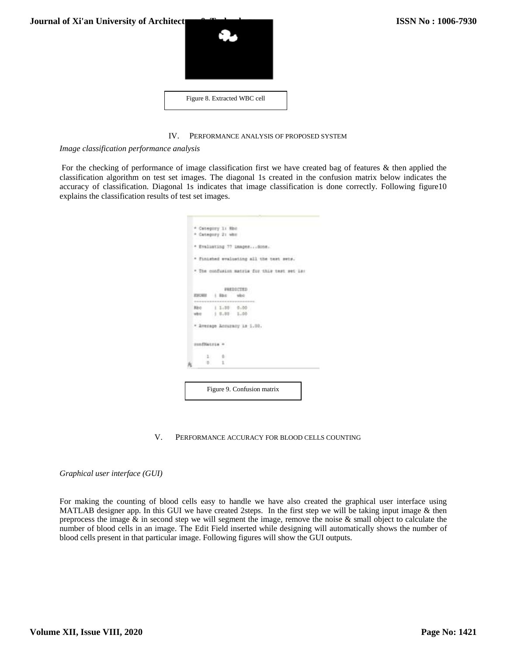

# IV. PERFORMANCE ANALYSIS OF PROPOSED SYSTEM

*Image classification performance analysis*

For the checking of performance of image classification first we have created bag of features & then applied the classification algorithm on test set images. The diagonal 1s created in the confusion matrix below indicates the accuracy of classification. Diagonal 1s indicates that image classification is done correctly. Following figure10 explains the classification results of test set images.

|               | * Category 1: Nho<br>* Category 21 who | * Evaluating 77 inagesdone.                  |  |
|---------------|----------------------------------------|----------------------------------------------|--|
|               |                                        |                                              |  |
|               |                                        |                                              |  |
|               |                                        |                                              |  |
|               |                                        |                                              |  |
|               |                                        | * Finished evaluating all the test sets.     |  |
|               |                                        | * The confusion matrix for this test set is: |  |
|               |                                        | PREDICTED                                    |  |
| ESORE         | Barn:                                  | <b>WAD</b>                                   |  |
| <b>Ribic</b>  | $1.1.00$ $0.00$                        |                                              |  |
| when          | 1.8,80.1,00.0                          |                                              |  |
|               |                                        | * Average Annunsny 18 1.00.                  |  |
| sunfitatria = |                                        |                                              |  |
| 2.7           | 新介                                     |                                              |  |
|               | ĩ.                                     |                                              |  |

V. PERFORMANCE ACCURACY FOR BLOOD CELLS COUNTING

*Graphical user interface (GUI)*

For making the counting of blood cells easy to handle we have also created the graphical user interface using MATLAB designer app. In this GUI we have created 2steps. In the first step we will be taking input image & then preprocess the image  $\&$  in second step we will segment the image, remove the noise  $\&$  small object to calculate the number of blood cells in an image. The Edit Field inserted while designing will automatically shows the number of blood cells present in that particular image. Following figures will show the GUI outputs.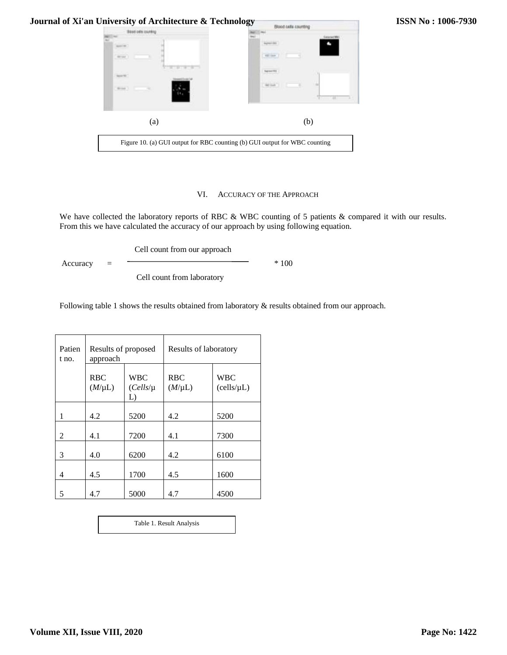| DATE DEATEND<br><b>SEP LEAT</b><br><b>Service Rd</b><br>š.<br>Since 1 | <b><i>USA HALL TO</i></b><br>All they<br><b>Teaned ITE</b> |
|-----------------------------------------------------------------------|------------------------------------------------------------|
| (a)                                                                   | (b)                                                        |

#### VI. ACCURACY OF THE APPROACH

We have collected the laboratory reports of RBC & WBC counting of 5 patients & compared it with our results. From this we have calculated the accuracy of our approach by using following equation.

Cell count from our approach

 $Accuracy = \frac{100}{200}$ 

Cell count from laboratory

Following table 1 shows the results obtained from laboratory & results obtained from our approach.

| Patien<br>t no. | Results of proposed<br>approach |                                   | Results of laboratory     |                               |
|-----------------|---------------------------------|-----------------------------------|---------------------------|-------------------------------|
|                 | <b>RBC</b><br>$(M/\mu L)$       | <b>WBC</b><br>$(Cells/\mu)$<br>L) | <b>RBC</b><br>$(M/\mu L)$ | <b>WBC</b><br>$(cells/\mu L)$ |
| 1               | 4.2                             | 5200                              | 4.2                       | 5200                          |
| 2               | 4.1                             | 7200                              | 4.1                       | 7300                          |
| 3               | 4.0                             | 6200                              | 4.2                       | 6100                          |
| 4               | 4.5                             | 1700                              | 4.5                       | 1600                          |
| 5               | 4.7                             | 5000                              | 4.7                       | 4500                          |

Table 1. Result Analysis